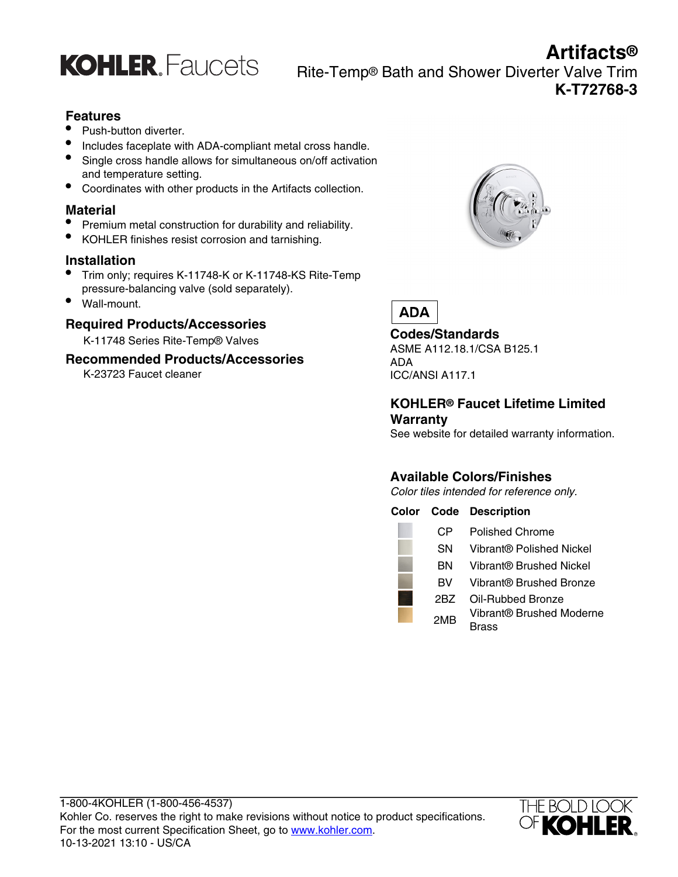

**Artifacts®** Rite-Temp® Bath and Shower Diverter Valve Trim **K-T72768-3**

### **Features**

- Push-button diverter.
- Includes faceplate with ADA-compliant metal cross handle.
- Single cross handle allows for simultaneous on/off activation and temperature setting.
- Coordinates with other products in the Artifacts collection.

#### **Material**

- Premium metal construction for durability and reliability.
- KOHLER finishes resist corrosion and tarnishing.

#### **Installation**

- Trim only; requires K-11748-K or K-11748-KS Rite-Temp pressure-balancing valve (sold separately).
- Wall-mount.

#### **Required Products/Accessories**

K-11748 Series Rite-Temp® Valves

#### **Recommended Products/Accessories**

K-23723 Faucet cleaner





# **Codes/Standards**

ASME A112.18.1/CSA B125.1 ADA ICC/ANSI A117.1

#### **KOHLER® Faucet Lifetime Limited Warranty**

See website for detailed warranty information.

# **Available Colors/Finishes**

Color tiles intended for reference only.

#### **Color Code Description**

| CР  | <b>Polished Chrome</b>            |
|-----|-----------------------------------|
| SΝ  | Vibrant® Polished Nickel          |
| ΒN  | Vibrant® Brushed Nickel           |
| BV. | Vibrant® Brushed Bronze           |
| 2BZ | Oil-Rubbed Bronze                 |
| 2MB | Vibrant® Brushed Moderne<br>Drooo |

Brass